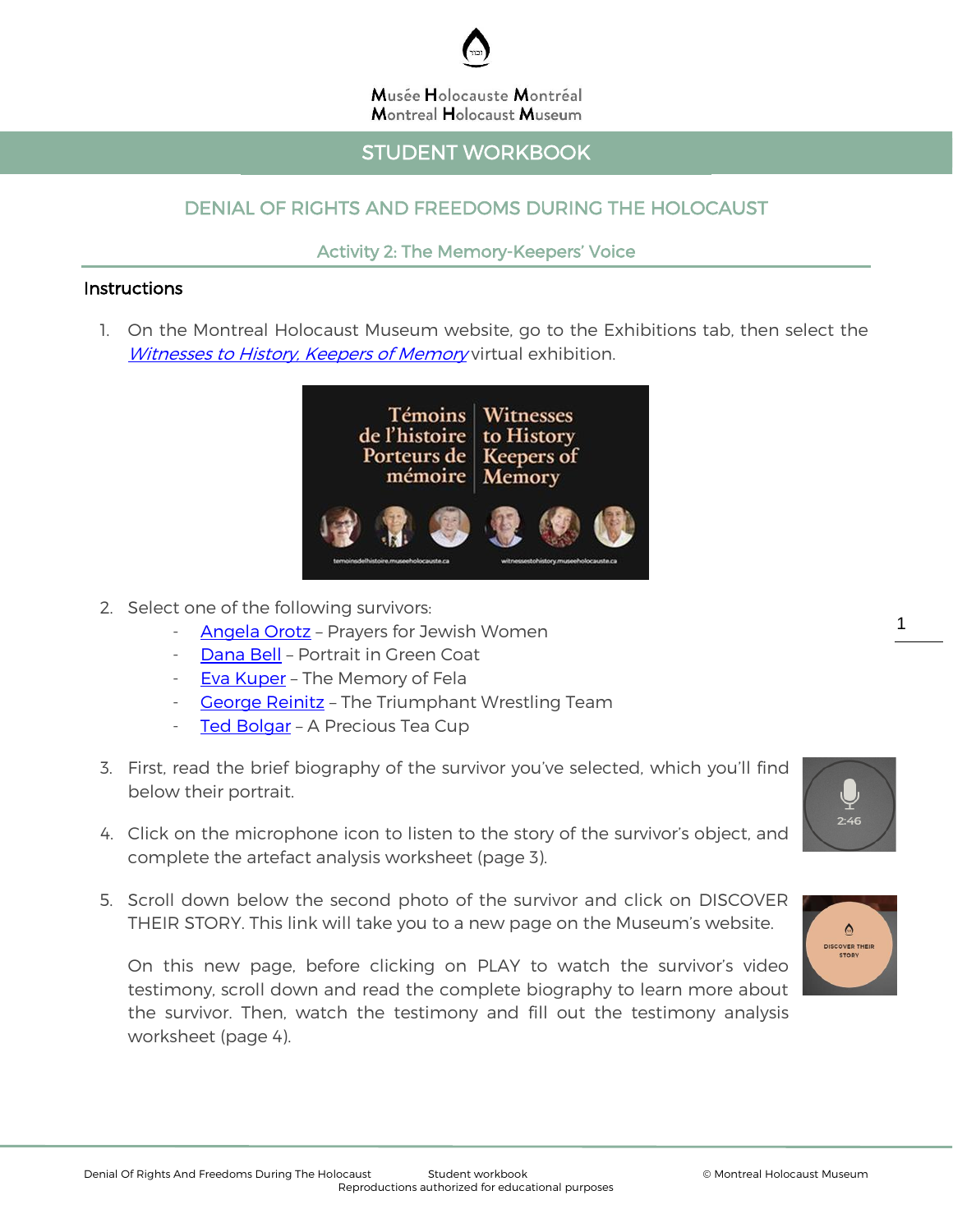

#### Musée Holocauste Montréal **Montreal Holocaust Museum**

## STUDENT WORKBOOK

## DENIAL OF RIGHTS AND FREEDOMS DURING THE HOLOCAUST

### Activity 2: The Memory-Keepers' Voice

#### **Instructions**

I

1. On the Montreal Holocaust Museum website, go to the Exhibitions tab, then select the [Witnesses to History, Keepers of Memory](https://witnessestohistory.museeholocauste.ca/) virtual exhibition.



- 2. Select one of the following survivors:
	- [Angela](https://witnessestohistory.museeholocauste.ca/explore-all-portraits/angela-orosz-prayers-for-jewish-women/) Orotz Prayers for Jewish Women
	- [Dana Bell](https://witnessestohistory.museeholocauste.ca/explore-all-portraits/dana-bell-portrait-in-the-green-coat/) Portrait in Green Coat
	- [Eva Kuper](https://witnessestohistory.museeholocauste.ca/explore-all-portraits/eva-kuper-the-memory-of-fela/) The Memory of Fela
	- [George Reinitz](https://witnessestohistory.museeholocauste.ca/explore-all-portraits/george-reinitz-the-triumphant-wrestling-team/) The Triumphant Wrestling Team
	- [Ted Bolgar](https://witnessestohistory.museeholocauste.ca/explore-all-portraits/ted-bolgar-a-precious-coffee-cup/) A Precious Tea Cup
- 3. First, read the brief biography of the survivor you've selected, which you'll find below their portrait.
- 4. Click on the microphone icon to listen to the story of the survivor's object, and complete the artefact analysis worksheet (page 3).
- 5. Scroll down below the second photo of the survivor and click on DISCOVER THEIR STORY. This link will take you to a new page on the Museum's website.

On this new page, before clicking on PLAY to watch the survivor's video testimony, scroll down and read the complete biography to learn more about the survivor. Then, watch the testimony and fill out the testimony analysis worksheet (page 4).



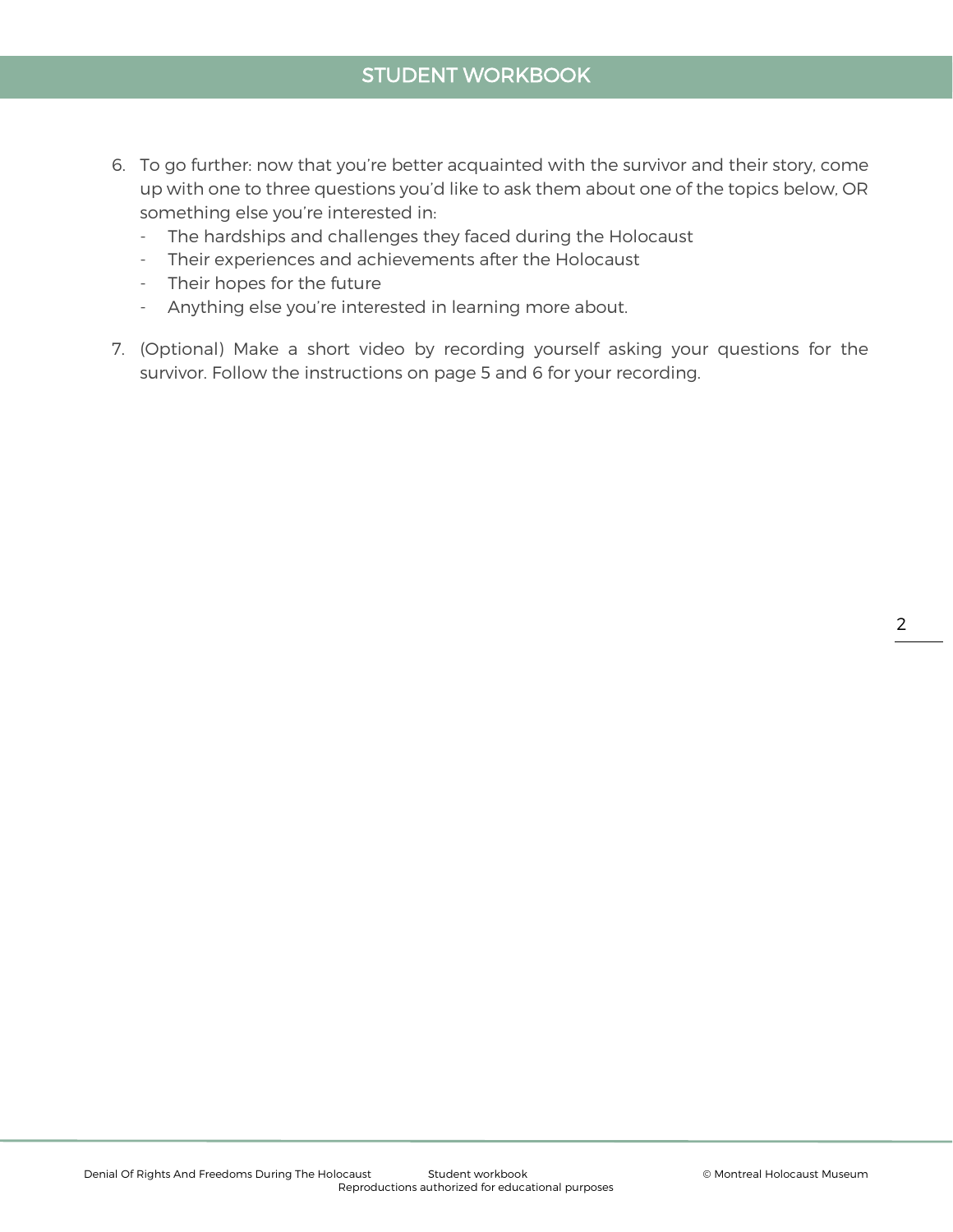- 6. To go further: now that you're better acquainted with the survivor and their story, come up with one to three questions you'd like to ask them about one of the topics below, OR something else you're interested in:
	- The hardships and challenges they faced during the Holocaust
	- Their experiences and achievements after the Holocaust
	- Their hopes for the future
	- Anything else you're interested in learning more about.
- 7. (Optional) Make a short video by recording yourself asking your questions for the survivor. Follow the instructions on page 5 and 6 for your recording.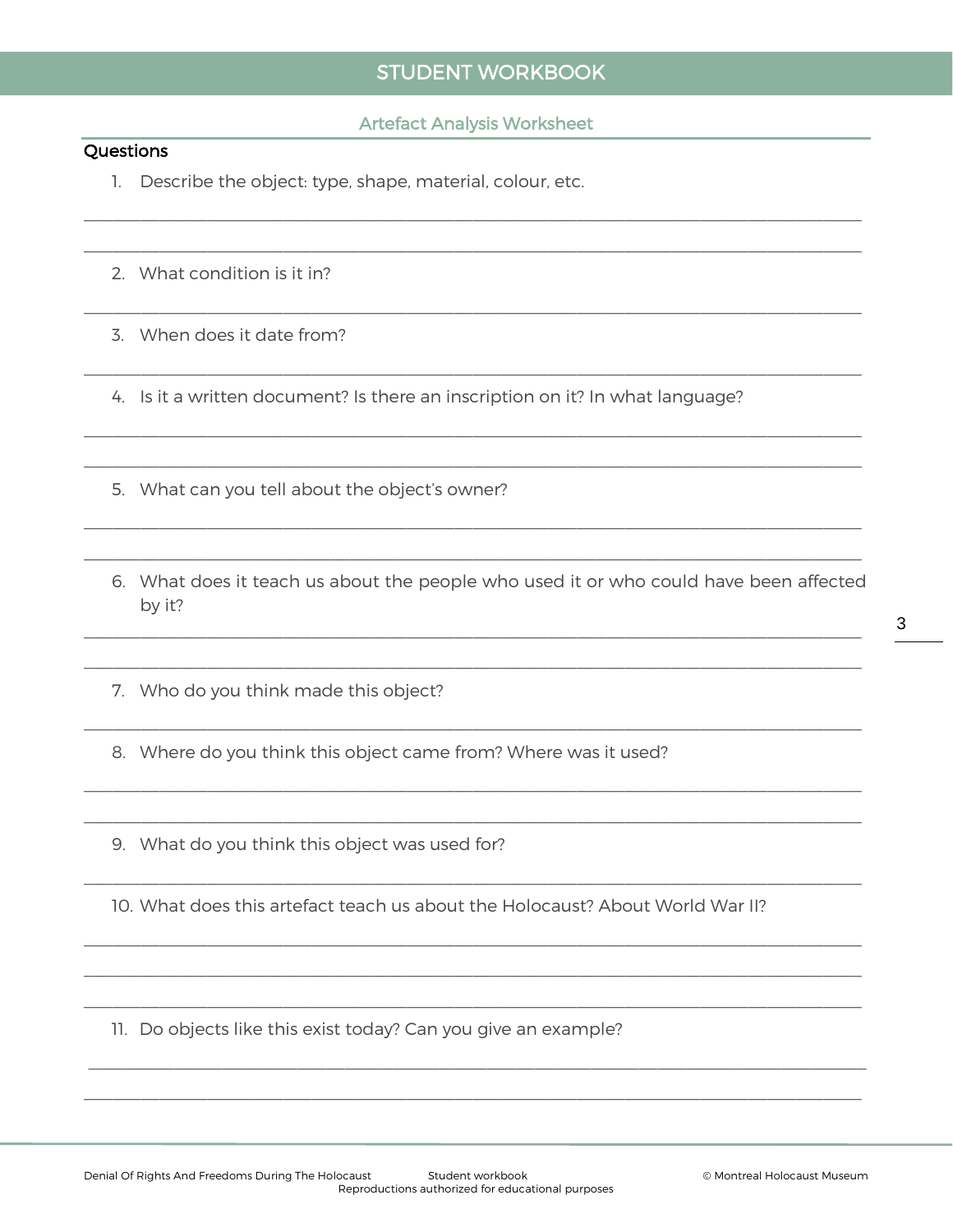#### **Artefact Analysis Worksheet**

#### Questions

- 1. Describe the object: type, shape, material, colour, etc.
- 2. What condition is it in?
- 3. When does it date from?

4. Is it a written document? Is there an inscription on it? In what language?

- 5. What can you tell about the object's owner?
- 6. What does it teach us about the people who used it or who could have been affected by it?
- 7. Who do you think made this object?
- 8. Where do you think this object came from? Where was it used?
- 9. What do you think this object was used for?

10. What does this artefact teach us about the Holocaust? About World War II?

11. Do objects like this exist today? Can you give an example?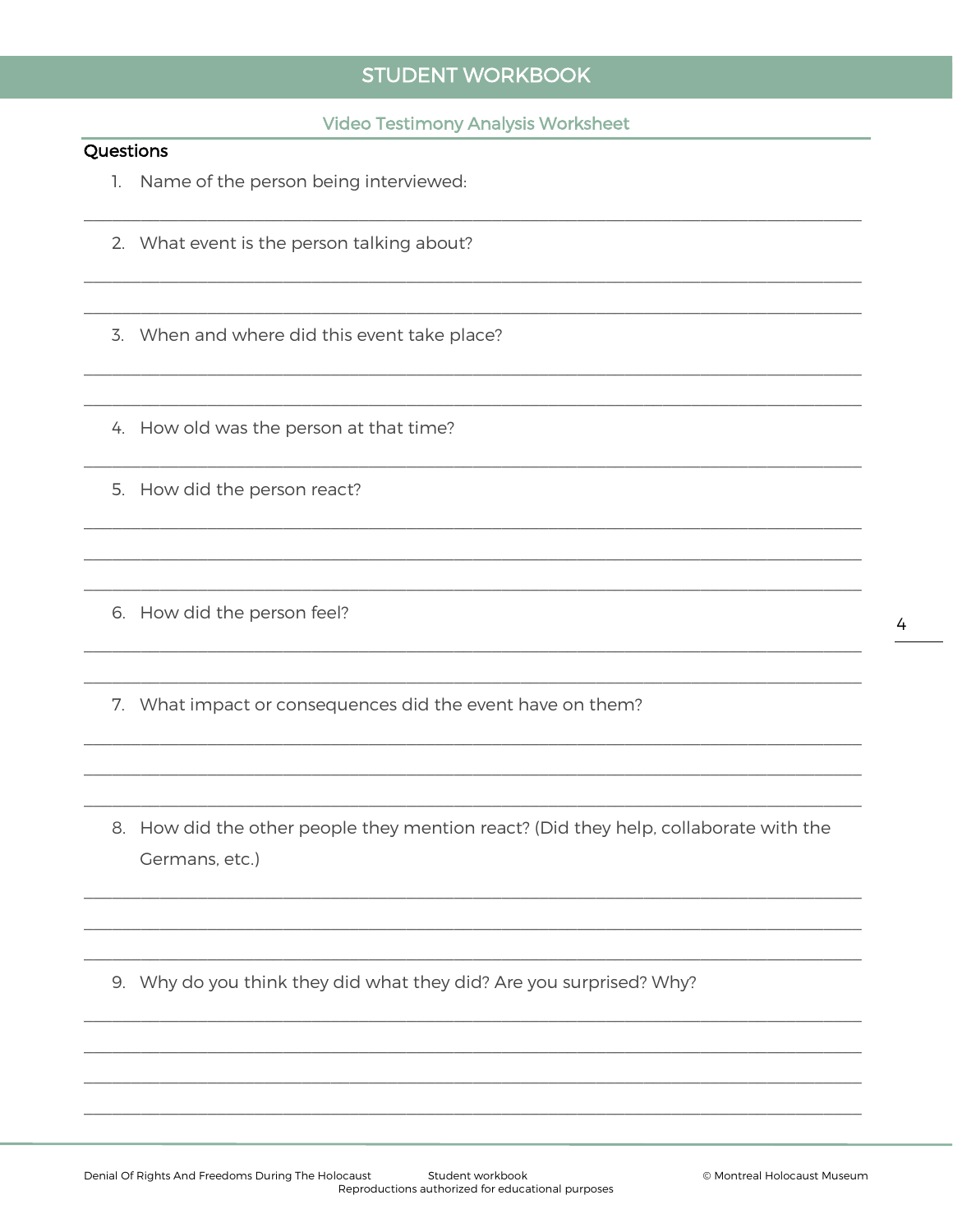#### **Video Testimony Analysis Worksheet**

#### Questions

- 1. Name of the person being interviewed:
- 2. What event is the person talking about?

3. When and where did this event take place?

4. How old was the person at that time?

- 5. How did the person react?
- 6. How did the person feel?
- 7. What impact or consequences did the event have on them?
- 8. How did the other people they mention react? (Did they help, collaborate with the Germans, etc.)

9. Why do you think they did what they did? Are you surprised? Why?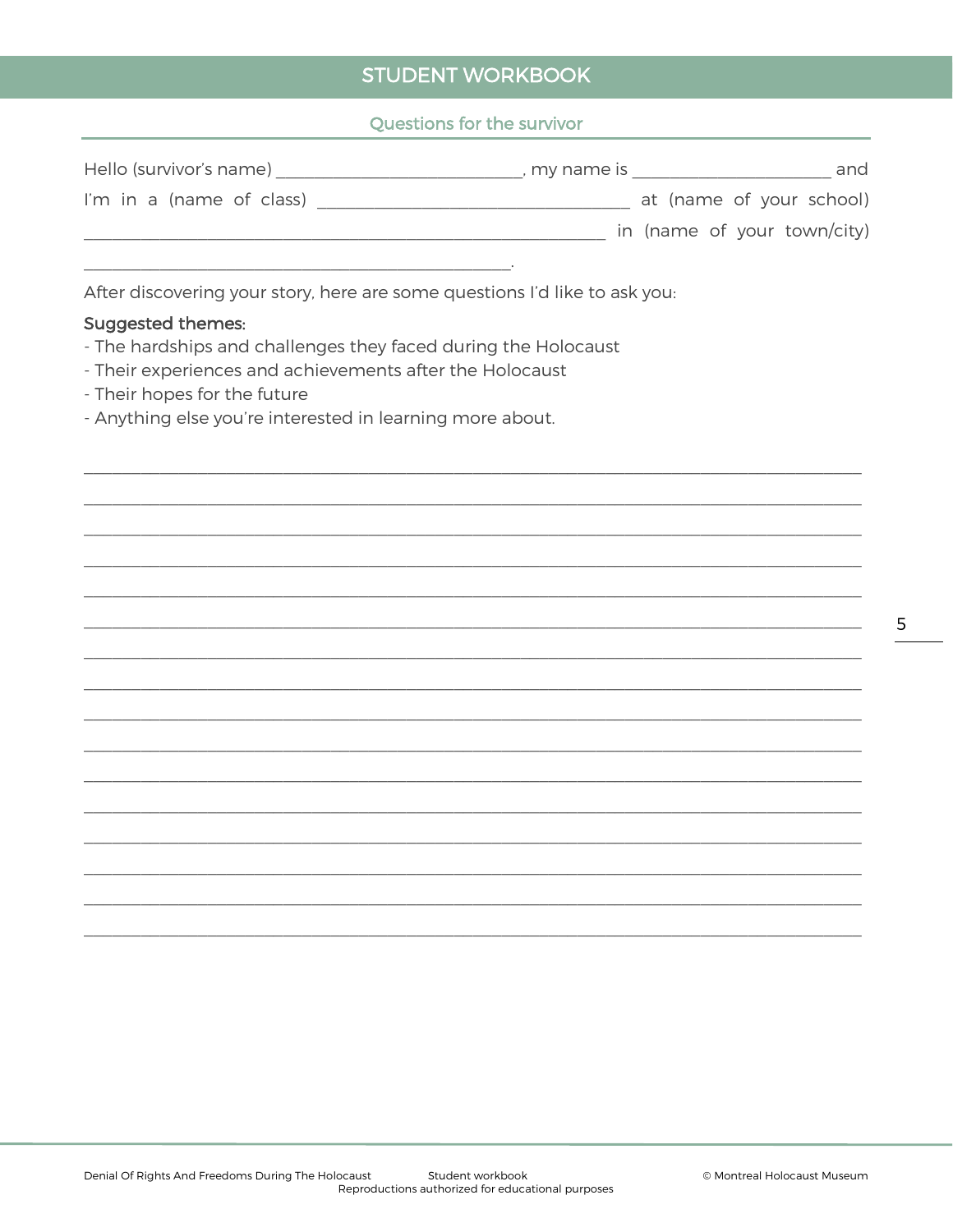## Questions for the survivor

| Hello (survivor's name)                                                    | , my name is more than the state of the state of the state of the state of the state of the state of the state | and                         |
|----------------------------------------------------------------------------|----------------------------------------------------------------------------------------------------------------|-----------------------------|
| I'm in a (name of class)                                                   |                                                                                                                | at (name of your school)    |
|                                                                            |                                                                                                                | in (name of your town/city) |
|                                                                            |                                                                                                                |                             |
| After discovering your story, here are some questions I'd like to ask you: |                                                                                                                |                             |
| <b>Suggested themes:</b>                                                   |                                                                                                                |                             |
| - The hardships and challenges they faced during the Holocaust             |                                                                                                                |                             |
| - Their experiences and achievements after the Holocaust                   |                                                                                                                |                             |
| - Their hopes for the future                                               |                                                                                                                |                             |
|                                                                            |                                                                                                                |                             |

- Anything else you're interested in learning more about.